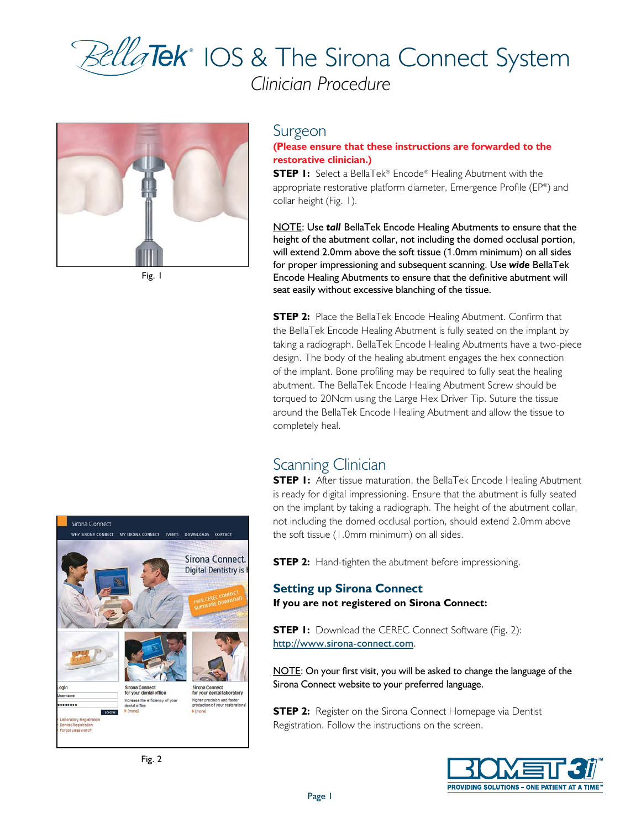# ® IOS & The Sirona Connect System *Clinician Procedure*



Fig. 1

# Surgeon

# **(Please ensure that these instructions are forwarded to the restorative clinician.)**

**STEP 1:** Select a BellaTek® Encode® Healing Abutment with the appropriate restorative platform diameter, Emergence Profile (EP®) and collar height (Fig. 1).

NOTE: Use *tall* BellaTek Encode Healing Abutments to ensure that the height of the abutment collar, not including the domed occlusal portion, will extend 2.0mm above the soft tissue (1.0mm minimum) on all sides for proper impressioning and subsequent scanning. Use *wide* BellaTek Encode Healing Abutments to ensure that the definitive abutment will seat easily without excessive blanching of the tissue.

**STEP 2:** Place the BellaTek Encode Healing Abutment. Confirm that the BellaTek Encode Healing Abutment is fully seated on the implant by taking a radiograph. BellaTek Encode Healing Abutments have a two-piece design. The body of the healing abutment engages the hex connection of the implant. Bone profiling may be required to fully seat the healing abutment. The BellaTek Encode Healing Abutment Screw should be torqued to 20Ncm using the Large Hex Driver Tip. Suture the tissue around the BellaTek Encode Healing Abutment and allow the tissue to completely heal.

# Scanning Clinician

**STEP I:** After tissue maturation, the BellaTek Encode Healing Abutment is ready for digital impressioning. Ensure that the abutment is fully seated on the implant by taking a radiograph. The height of the abutment collar, not including the domed occlusal portion, should extend 2.0mm above the soft tissue (1.0mm minimum) on all sides.

**STEP 2:** Hand-tighten the abutment before impressioning.

### **Setting up Sirona Connect If you are not registered on Sirona Connect:**

**STEP I:** Download the CEREC Connect Software (Fig. 2): http://www.sirona-connect.com.

NOTE: On your first visit, you will be asked to change the language of the Sirona Connect website to your preferred language.

**STEP 2:** Register on the Sirona Connect Homepage via Dentist Registration. Follow the instructions on the screen.



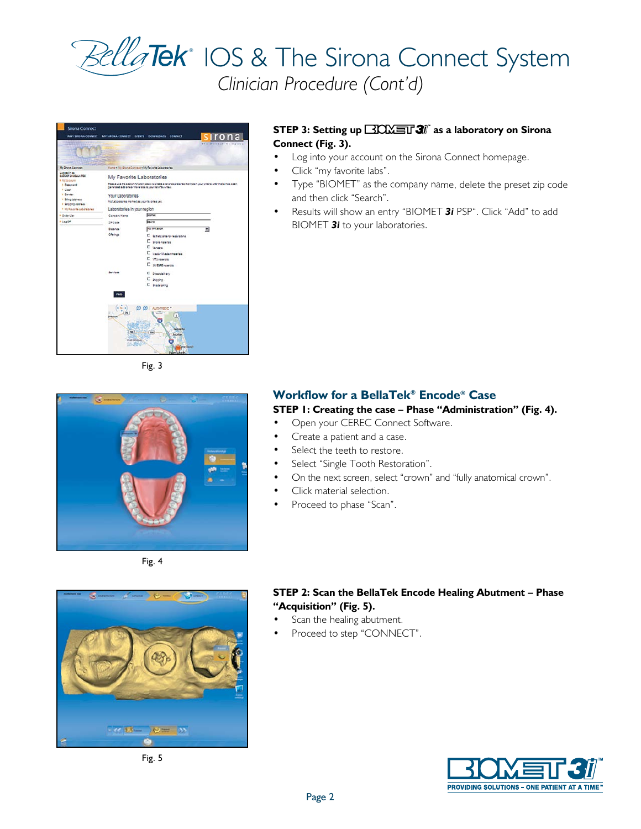# ® IOS & The Sirona Connect System *Clinician Procedure (Cont'd)*



Fig. 3

### **STEP 3: Setting up <b>BIONET** 3<sup>*j*</sup> as a laboratory on Sirona **Connect (Fig. 3).**

- •Log into your account on the Sirona Connect homepage.
- •Click "my favorite labs".
- • Type "BIOMET" as the company name, delete the preset zip code and then click "Search".
- • Results will show an entry "BIOMET *3i* PSP". Click "Add" to add BIOMET *3i* to your laboratories.



Fig. 4



Fig. 5

# **Workflow for a BellaTek® Encode® Case**

# **STEP 1: Creating the case – Phase "Administration" (Fig. 4).**

- •Open your CEREC Connect Software.
- •Create a patient and a case.
- •Select the teeth to restore.
- •Select "Single Tooth Restoration".
- •On the next screen, select "crown" and "fully anatomical crown".
- •Click material selection.
- •Proceed to phase "Scan".

## **STEP 2: Scan the BellaTek Encode Healing Abutment – Phase "Acquisition" (Fig. 5).**

- •Scan the healing abutment.
- •Proceed to step "CONNECT".

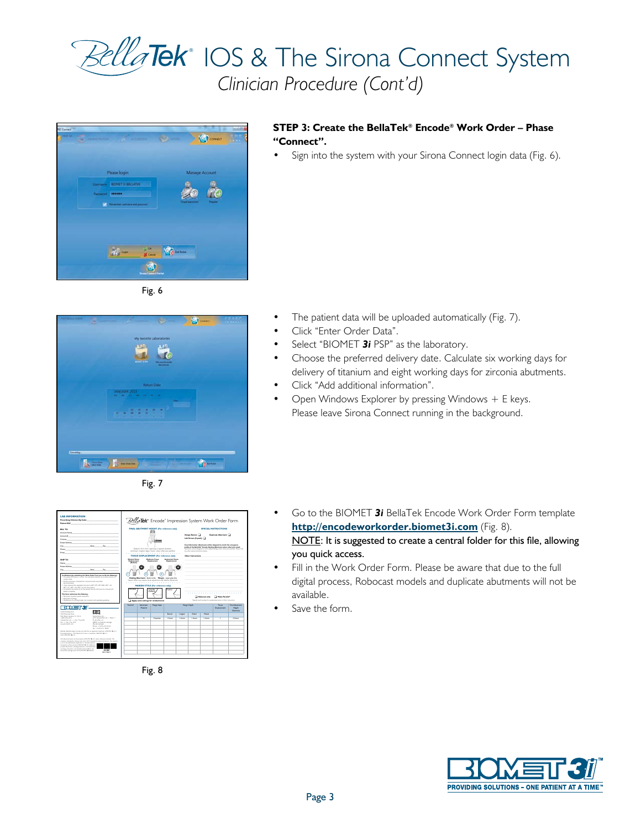













### **STEP 3: Create the BellaTek® Encode® Work Order – Phase "Connect".**

• Sign into the system with your Sirona Connect login data (Fig. 6).

- The patient data will be uploaded automatically (Fig. 7).
- Click "Enter Order Data".
- Select "BIOMET 3i PSP" as the laboratory.
- Choose the preferred delivery date. Calculate six working days for delivery of titanium and eight working days for zirconia abutments.
- Click "Add additional information".
- Open Windows Explorer by pressing Windows  $+ E$  keys. Please leave Sirona Connect running in the background.

- Go to the BIOMET *3i* BellaTek Encode Work Order Form template **http://encodeworkorder.biomet3i.com** (Fig. 8). NOTE: It is suggested to create a central folder for this file, allowing you quick access.
- Fill in the Work Order Form. Please be aware that due to the full digital process, Robocast models and duplicate abutments will not be available.
- Save the form.

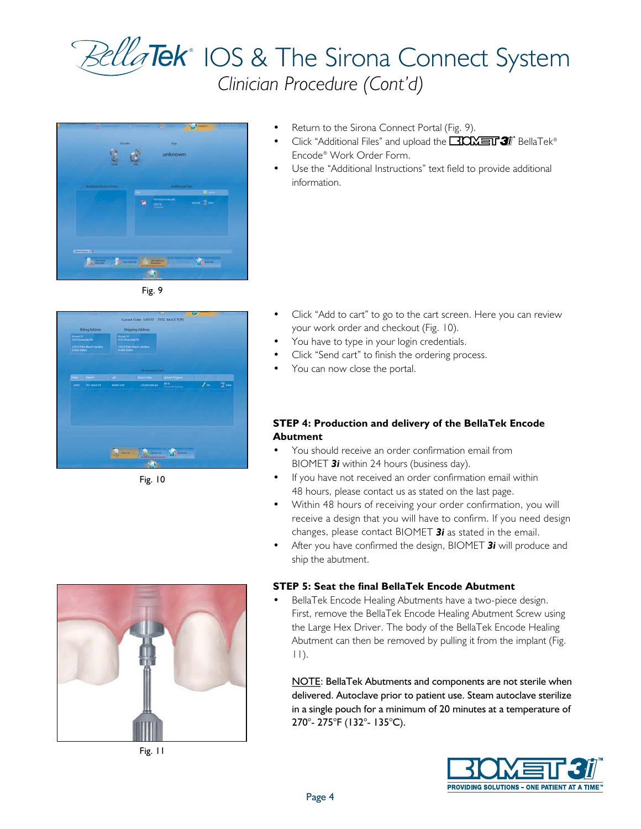







Fig. 10

- •Return to the Sirona Connect Portal (Fig. 9).
- •Click "Additional Files" and upload the  $\Box$  OM  $\equiv$   $\Box$  BellaTek® Encode® Work Order Form.
- • Use the "Additional Instructions" text field to provide additional information.

- • Click "Add to cart" to go to the cart screen. Here you can review your work order and checkout (Fig. 10).
- •You have to type in your login credentials.
- •Click "Send cart" to finish the ordering process.
- •You can now close the portal.

#### **STEP 4: Production and delivery of the BellaTek Encode Abutment**

- • You should receive an order confirmation email from BIOMET *3i* within 24 hours (business day).
- • If you have not received an order confirmation email within 48 hours, please contact us as stated on the last page.
- • Within 48 hours of receiving your order confirmation, you will receive a design that you will have to confirm. If you need design changes, please contact BIOMET *3i* as stated in the email.
- • After you have confirmed the design, BIOMET *3i* will produce and ship the abutment.

#### **STEP 5: Seat the final BellaTek Encode Abutment**

**•** BellaTek Encode Healing Abutments have a two-piece design. First, remove the BellaTek Encode Healing Abutment Screw using the Large Hex Driver. The body of the BellaTek Encode Healing Abutment can then be removed by pulling it from the implant (Fig. 11).

NOTE: BellaTek Abutments and components are not sterile when delivered. Autoclave prior to patient use. Steam autoclave sterilize in a single pouch for a minimum of 20 minutes at a temperature of 270°- 275°F (132°- 135°C).





Fig. 11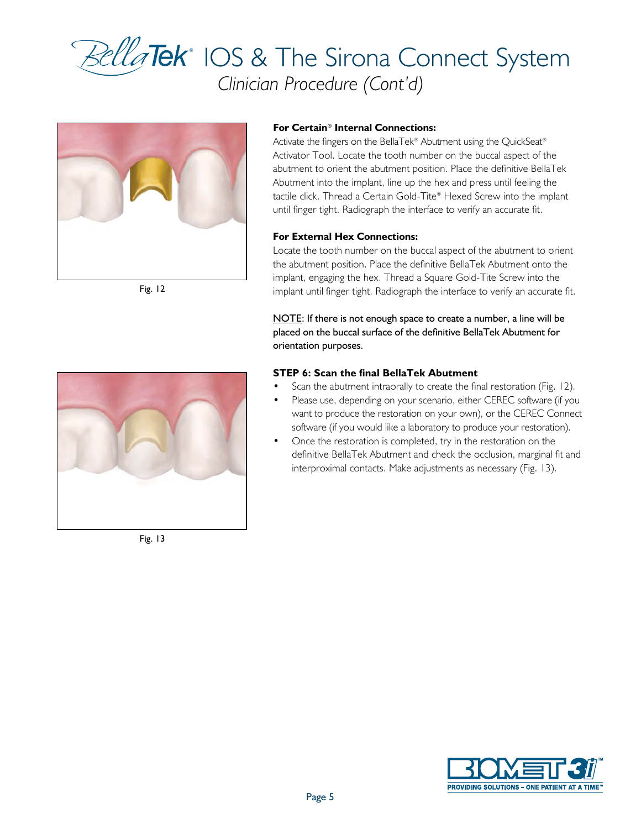# ® IOS & The Sirona Connect System *Clinician Procedure (Cont'd)*



Fig. 12

#### **For Certain® Internal Connections:**

Activate the fingers on the BellaTek® Abutment using the QuickSeat® Activator Tool. Locate the tooth number on the buccal aspect of the abutment to orient the abutment position. Place the definitive BellaTek Abutment into the implant, line up the hex and press until feeling the tactile click. Thread a Certain Gold-Tite® Hexed Screw into the implant until finger tight. Radiograph the interface to verify an accurate fit.

#### **For External Hex Connections:**

Locate the tooth number on the buccal aspect of the abutment to orient the abutment position. Place the definitive BellaTek Abutment onto the implant, engaging the hex. Thread a Square Gold-Tite Screw into the implant until finger tight. Radiograph the interface to verify an accurate fit.

NOTE: If there is not enough space to create a number, a line will be placed on the buccal surface of the definitive BellaTek Abutment for orientation purposes.

#### **STEP 6: Scan the final BellaTek Abutment**

- Scan the abutment intraorally to create the final restoration (Fig. 12).
- Please use, depending on your scenario, either CEREC software (if you want to produce the restoration on your own), or the CEREC Connect software (if you would like a laboratory to produce your restoration).
- **•** Once the restoration is completed, try in the restoration on the definitive BellaTek Abutment and check the occlusion, marginal fit and interproximal contacts. Make adjustments as necessary (Fig. 13).



Fig. 13